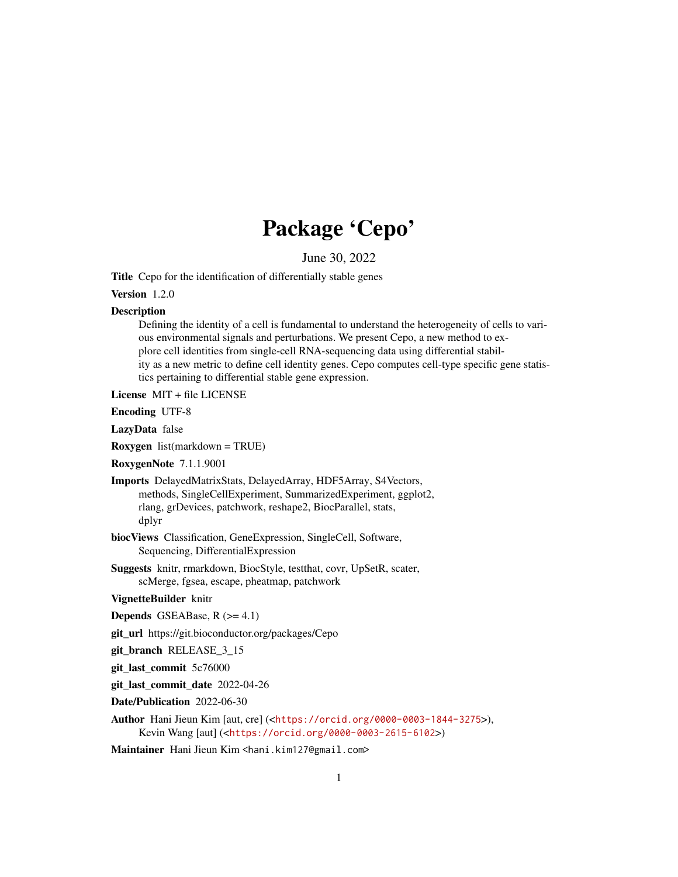## Package 'Cepo'

June 30, 2022

<span id="page-0-0"></span>Title Cepo for the identification of differentially stable genes

Version 1.2.0

#### **Description**

Defining the identity of a cell is fundamental to understand the heterogeneity of cells to various environmental signals and perturbations. We present Cepo, a new method to explore cell identities from single-cell RNA-sequencing data using differential stability as a new metric to define cell identity genes. Cepo computes cell-type specific gene statistics pertaining to differential stable gene expression.

License MIT + file LICENSE

Encoding UTF-8

LazyData false

Roxygen list(markdown = TRUE)

RoxygenNote 7.1.1.9001

Imports DelayedMatrixStats, DelayedArray, HDF5Array, S4Vectors, methods, SingleCellExperiment, SummarizedExperiment, ggplot2, rlang, grDevices, patchwork, reshape2, BiocParallel, stats, dplyr

biocViews Classification, GeneExpression, SingleCell, Software, Sequencing, DifferentialExpression

Suggests knitr, rmarkdown, BiocStyle, testthat, covr, UpSetR, scater, scMerge, fgsea, escape, pheatmap, patchwork

VignetteBuilder knitr

**Depends** GSEABase,  $R$  ( $>= 4.1$ )

git\_url https://git.bioconductor.org/packages/Cepo

git\_branch RELEASE\_3\_15

git\_last\_commit 5c76000

git\_last\_commit\_date 2022-04-26

Date/Publication 2022-06-30

Author Hani Jieun Kim [aut, cre] (<<https://orcid.org/0000-0003-1844-3275>>), Kevin Wang [aut] (<<https://orcid.org/0000-0003-2615-6102>>)

Maintainer Hani Jieun Kim <hani.kim127@gmail.com>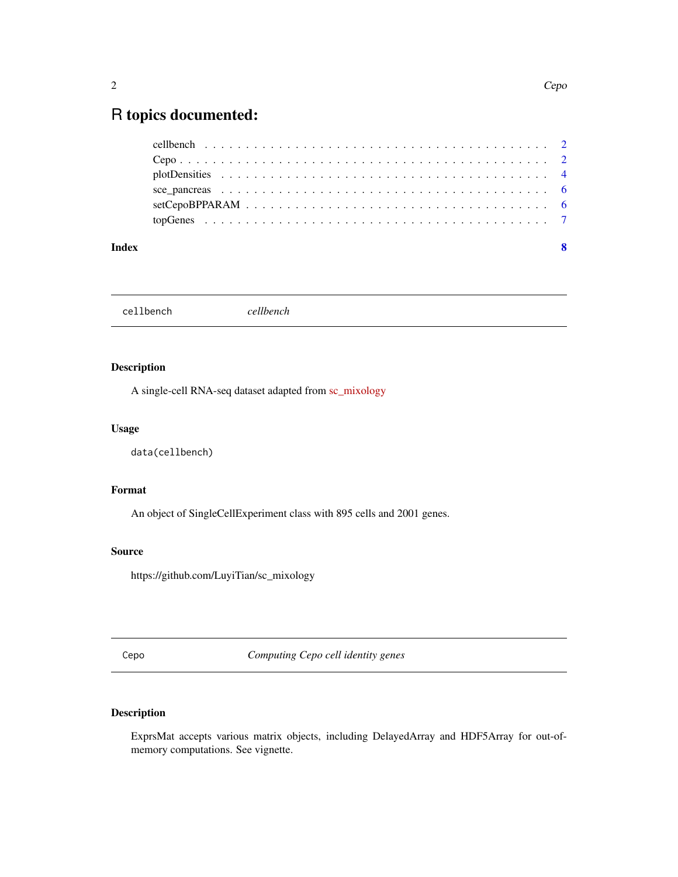### <span id="page-1-0"></span>R topics documented:

| Index | - 8 |
|-------|-----|
|       |     |
|       |     |
|       |     |
|       |     |
|       |     |
|       |     |

cellbench *cellbench*

#### Description

A single-cell RNA-seq dataset adapted from [sc\\_mixology](https://github.com/LuyiTian/sc_mixology)

#### Usage

data(cellbench)

#### Format

An object of SingleCellExperiment class with 895 cells and 2001 genes.

#### Source

https://github.com/LuyiTian/sc\_mixology

Cepo *Computing Cepo cell identity genes*

#### Description

ExprsMat accepts various matrix objects, including DelayedArray and HDF5Array for out-ofmemory computations. See vignette.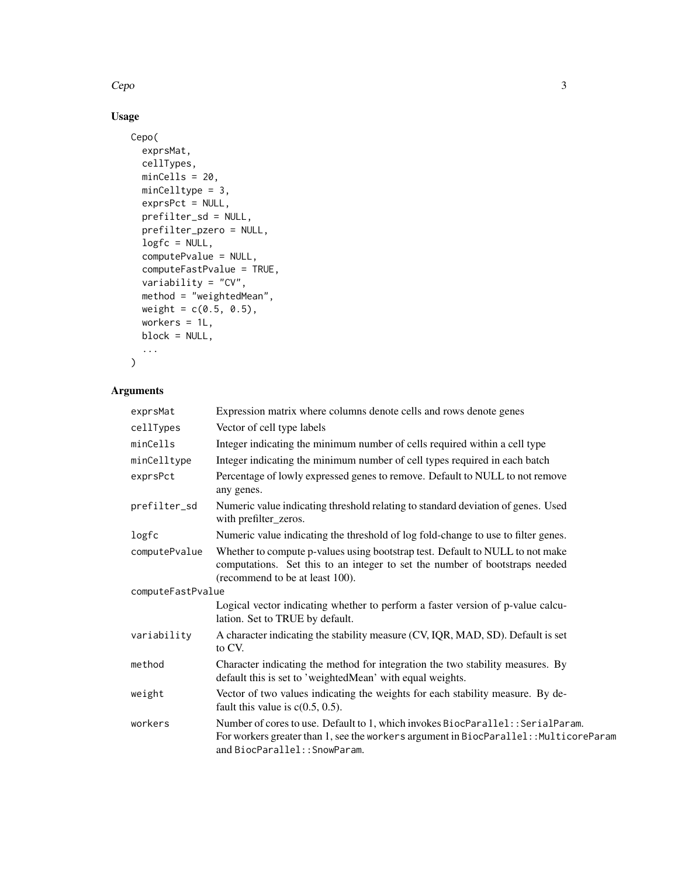$Cepo$  3

#### Usage

```
Cepo(
 exprsMat,
 cellTypes,
 minCells = 20,
 minCelltype = 3,
 exprsPct = NULL,
 prefilter_sd = NULL,
 prefilter_pzero = NULL,
 logfc = NULL,
 computePvalue = NULL,
 computeFastPvalue = TRUE,
 variability = "CV",
 method = "weightedMean",
 weight = c(0.5, 0.5),workers = 1L,
 block = NULL,
  ...
)
```
#### Arguments

| exprsMat          | Expression matrix where columns denote cells and rows denote genes                                                                                                                                        |
|-------------------|-----------------------------------------------------------------------------------------------------------------------------------------------------------------------------------------------------------|
| cellTypes         | Vector of cell type labels                                                                                                                                                                                |
| minCells          | Integer indicating the minimum number of cells required within a cell type                                                                                                                                |
| minCelltype       | Integer indicating the minimum number of cell types required in each batch                                                                                                                                |
| exprsPct          | Percentage of lowly expressed genes to remove. Default to NULL to not remove<br>any genes.                                                                                                                |
| prefilter_sd      | Numeric value indicating threshold relating to standard deviation of genes. Used<br>with prefilter_zeros.                                                                                                 |
| logfc             | Numeric value indicating the threshold of log fold-change to use to filter genes.                                                                                                                         |
| computePvalue     | Whether to compute p-values using bootstrap test. Default to NULL to not make<br>computations. Set this to an integer to set the number of bootstraps needed<br>(recommend to be at least 100).           |
| computeFastPvalue |                                                                                                                                                                                                           |
|                   | Logical vector indicating whether to perform a faster version of p-value calcu-<br>lation. Set to TRUE by default.                                                                                        |
| variability       | A character indicating the stability measure (CV, IQR, MAD, SD). Default is set<br>to CV.                                                                                                                 |
| method            | Character indicating the method for integration the two stability measures. By<br>default this is set to 'weightedMean' with equal weights.                                                               |
| weight            | Vector of two values indicating the weights for each stability measure. By de-<br>fault this value is $c(0.5, 0.5)$ .                                                                                     |
| workers           | Number of cores to use. Default to 1, which invokes BiocParallel:: SerialParam.<br>For workers greater than 1, see the workers argument in BiocParallel:: MulticoreParam<br>and BiocParallel:: SnowParam. |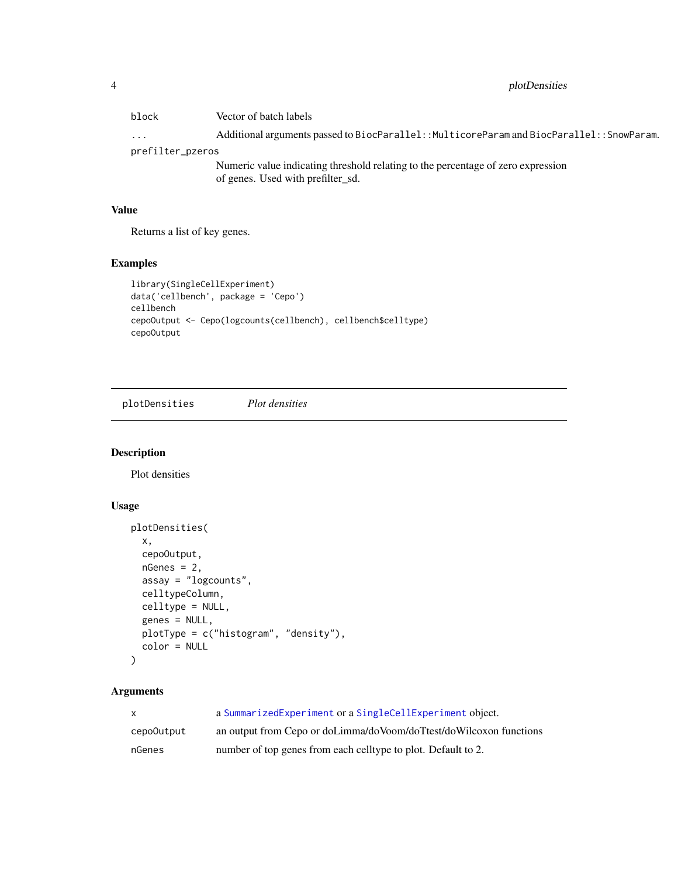<span id="page-3-0"></span>

| block            | Vector of batch labels                                                                     |  |
|------------------|--------------------------------------------------------------------------------------------|--|
| $\cdots$         | Additional arguments passed to BiocParallel:: MulticoreParam and BiocParallel:: SnowParam. |  |
| prefilter_pzeros |                                                                                            |  |
|                  | Numeric value indicating threshold relating to the percentage of zero expression           |  |
|                  | of genes. Used with prefilter_sd.                                                          |  |

#### Value

Returns a list of key genes.

#### Examples

```
library(SingleCellExperiment)
data('cellbench', package = 'Cepo')
cellbench
cepoOutput <- Cepo(logcounts(cellbench), cellbench$celltype)
cepoOutput
```
plotDensities *Plot densities*

#### Description

Plot densities

#### Usage

```
plotDensities(
  x,
  cepoOutput,
 nGenes = 2,
  assay = "logcounts",
  celltypeColumn,
  celltype = NULL,
  genes = NULL,
 plotType = c("histogram", "density"),
 color = NULL
)
```
#### Arguments

| $\mathsf{x}$ | a Summarized Experiment or a Single Cell Experiment object.        |
|--------------|--------------------------------------------------------------------|
| cepo0utput   | an output from Cepo or doLimma/doVoom/doTtest/doWilcoxon functions |
| nGenes       | number of top genes from each celltype to plot. Default to 2.      |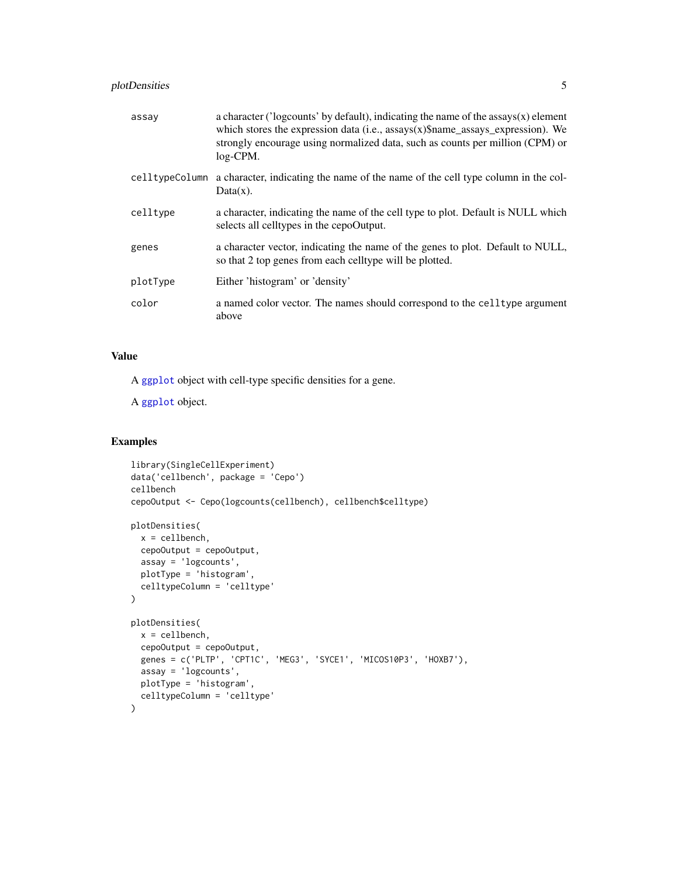#### <span id="page-4-0"></span>plotDensities 5

| assay    | a character ( $\prime$ logcounts' by default), indicating the name of the assays $(x)$ element<br>which stores the expression data (i.e., $assays(x)$ \$name_assays_expression). We<br>strongly encourage using normalized data, such as counts per million (CPM) or<br>$log$ -CPM. |
|----------|-------------------------------------------------------------------------------------------------------------------------------------------------------------------------------------------------------------------------------------------------------------------------------------|
|          | cell type Column a character, indicating the name of the name of the cell type column in the col-<br>$Data(x)$ .                                                                                                                                                                    |
| celltype | a character, indicating the name of the cell type to plot. Default is NULL which<br>selects all celltypes in the cepoOutput.                                                                                                                                                        |
| genes    | a character vector, indicating the name of the genes to plot. Default to NULL,<br>so that 2 top genes from each celltype will be plotted.                                                                                                                                           |
| plotType | Either 'histogram' or 'density'                                                                                                                                                                                                                                                     |
| color    | a named color vector. The names should correspond to the cell type argument<br>above                                                                                                                                                                                                |

#### Value

A [ggplot](#page-0-0) object with cell-type specific densities for a gene.

A [ggplot](#page-0-0) object.

#### Examples

```
library(SingleCellExperiment)
data('cellbench', package = 'Cepo')
cellbench
cepoOutput <- Cepo(logcounts(cellbench), cellbench$celltype)
plotDensities(
 x = cellbench,
 cepoOutput = cepoOutput,
 assay = 'logcounts',
 plotType = 'histogram',
  celltypeColumn = 'celltype'
)
plotDensities(
 x = cellbench,
 cepoOutput = cepoOutput,
  genes = c('PLTP', 'CPT1C', 'MEG3', 'SYCE1', 'MICOS10P3', 'HOXB7'),
 assay = 'logcounts',
  plotType = 'histogram',
  celltypeColumn = 'celltype'
\mathcal{L}
```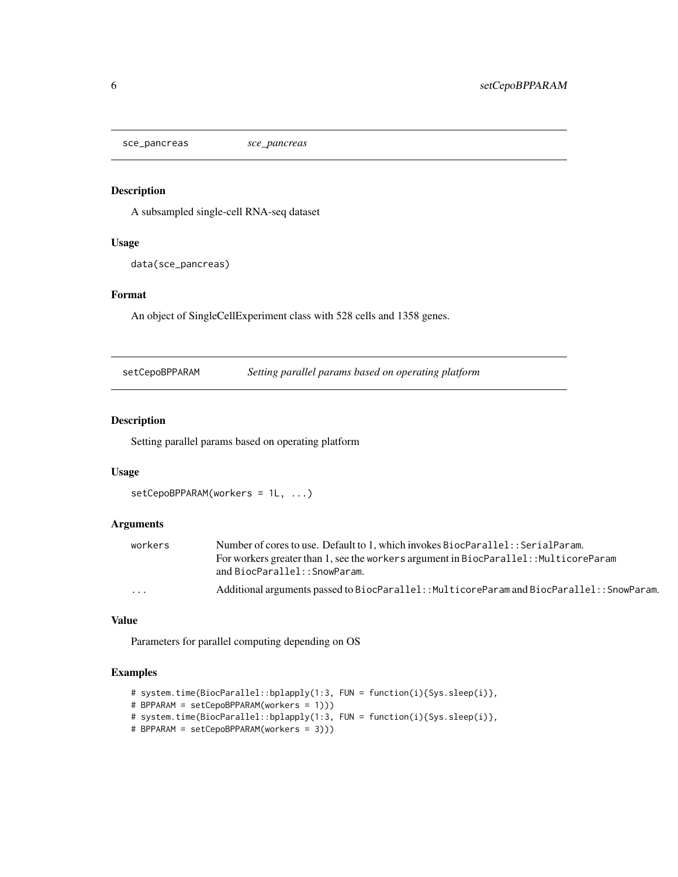<span id="page-5-0"></span>sce\_pancreas *sce\_pancreas*

#### Description

A subsampled single-cell RNA-seq dataset

#### Usage

data(sce\_pancreas)

#### Format

An object of SingleCellExperiment class with 528 cells and 1358 genes.

setCepoBPPARAM *Setting parallel params based on operating platform*

#### Description

Setting parallel params based on operating platform

#### Usage

```
setCepoBPPARAM(workers = 1L, ...)
```
#### Arguments

| workers | Number of cores to use. Default to 1, which invokes BiocParallel: : SerialParam.           |
|---------|--------------------------------------------------------------------------------------------|
|         | For workers greater than 1, see the workers argument in BiocParallel: : MulticoreParam     |
|         | and BiocParallel::SnowParam.                                                               |
| .       | Additional arguments passed to BiocParallel:: MulticoreParam and BiocParallel:: SnowParam. |

#### Value

Parameters for parallel computing depending on OS

#### Examples

```
# system.time(BiocParallel::bplapply(1:3, FUN = function(i){Sys.sleep(i)},
# BPPARAM = setCepoBPPARAM(workers = 1)))
# system.time(BiocParallel::bplapply(1:3, FUN = function(i){Sys.sleep(i)},
# BPPARAM = setCepoBPPARAM(workers = 3)))
```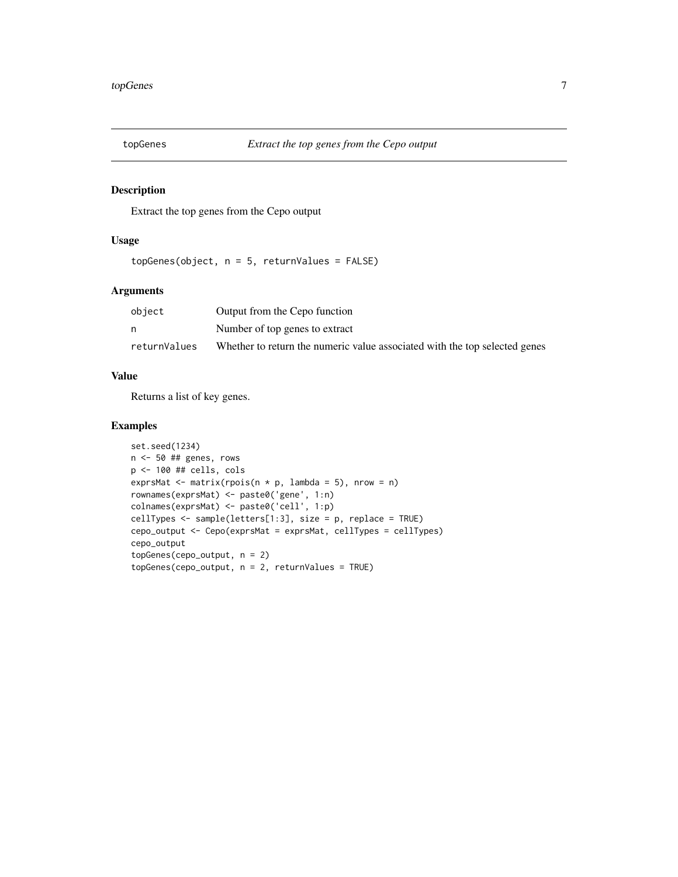<span id="page-6-0"></span>

#### Description

Extract the top genes from the Cepo output

#### Usage

topGenes(object, n = 5, returnValues = FALSE)

#### Arguments

| object       | Output from the Cepo function                                              |
|--------------|----------------------------------------------------------------------------|
|              | Number of top genes to extract                                             |
| returnValues | Whether to return the numeric value associated with the top selected genes |

#### Value

Returns a list of key genes.

#### Examples

```
set.seed(1234)
n <- 50 ## genes, rows
p <- 100 ## cells, cols
exprsMat <- matrix(rpois(n * p, lambda = 5), nrow = n)
rownames(exprsMat) <- paste0('gene', 1:n)
colnames(exprsMat) <- paste0('cell', 1:p)
cellTypes <- sample(letters[1:3], size = p, replace = TRUE)
cepo_output <- Cepo(exprsMat = exprsMat, cellTypes = cellTypes)
cepo_output
topGenes(cepo_output, n = 2)
topGenes(cepo_output, n = 2, returnValues = TRUE)
```